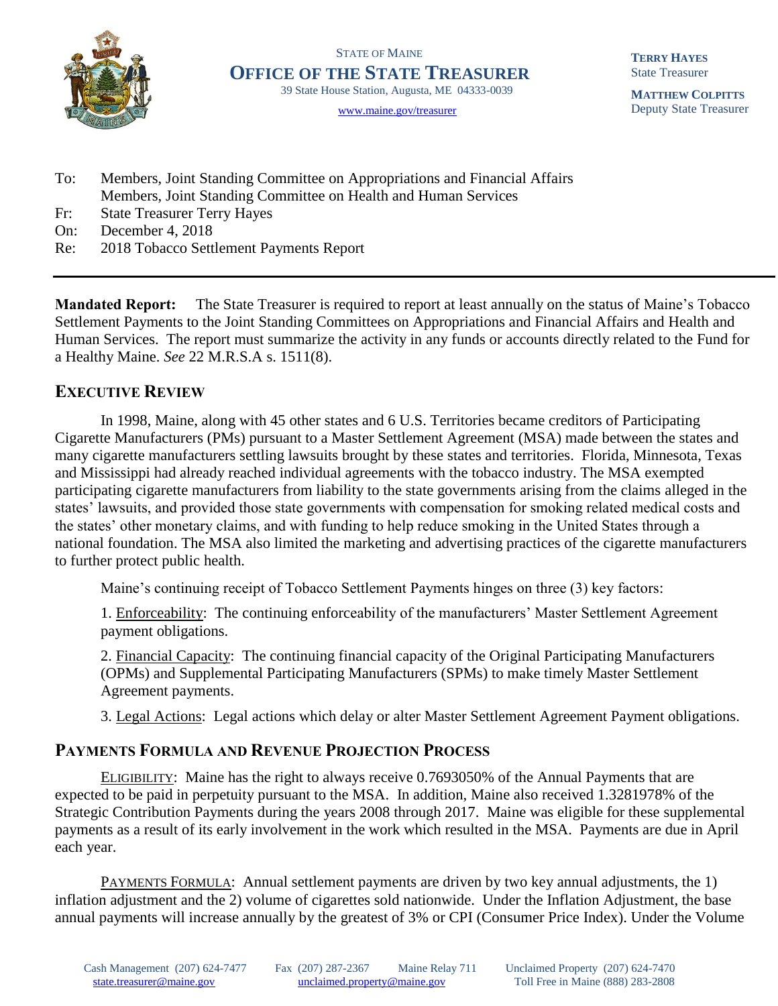

STATE OF MAINE **OFFICE OF THE STATE TREASURER** 39 State House Station, Augusta, ME 04333-0039

[www.maine.gov/treasurer](http://www.maine.gov/treasurer) 

**TERRY HAYES** State Treasurer

**MATTHEW COLPITTS** Deputy State Treasurer

- To: Members, Joint Standing Committee on Appropriations and Financial Affairs Members, Joint Standing Committee on Health and Human Services
- Fr: State Treasurer Terry Hayes
- On: December 4, 2018
- Re: 2018 Tobacco Settlement Payments Report

Mandated Report: The State Treasurer is required to report at least annually on the status of Maine's Tobacco Settlement Payments to the Joint Standing Committees on Appropriations and Financial Affairs and Health and Human Services. The report must summarize the activity in any funds or accounts directly related to the Fund for a Healthy Maine. *See* 22 M.R.S.A s. 1511(8).

## EXECUTIVE REVIEW

In 1998, Maine, along with 45 other states and 6 U.S. Territories became creditors of Participating Cigarette Manufacturers (PMs) pursuant to a Master Settlement Agreement (MSA) made between the states and many cigarette manufacturers settling lawsuits brought by these states and territories. Florida, Minnesota, Texas and Mississippi had already reached individual agreements with the tobacco industry. The MSA exempted participating cigarette manufacturers from liability to the state governments arising from the claims alleged in the states' lawsuits, and provided those state governments with compensation for smoking related medical costs and the states' other monetary claims, and with funding to help reduce smoking in the United States through a national foundation. The MSA also limited the marketing and advertising practices of the cigarette manufacturers to further protect public health.

Maine's continuing receipt of Tobacco Settlement Payments hinges on three (3) key factors:

1. Enforceability: The continuing enforceability of the manufacturers' Master Settlement Agreement payment obligations.

2. Financial Capacity: The continuing financial capacity of the Original Participating Manufacturers (OPMs) and Supplemental Participating Manufacturers (SPMs) to make timely Master Settlement Agreement payments.

3. Legal Actions: Legal actions which delay or alter Master Settlement Agreement Payment obligations.

## PAYMENTS FORMULA AND REVENUE PROJECTION PROCESS

ELIGIBILITY: Maine has the right to always receive 0.7693050% of the Annual Payments that are expected to be paid in perpetuity pursuant to the MSA. In addition, Maine also received 1.3281978% of the Strategic Contribution Payments during the years 2008 through 2017. Maine was eligible for these supplemental payments as a result of its early involvement in the work which resulted in the MSA. Payments are due in April each year.

PAYMENTS FORMULA: Annual settlement payments are driven by two key annual adjustments, the 1) inflation adjustment and the 2) volume of cigarettes sold nationwide. Under the Inflation Adjustment, the base annual payments will increase annually by the greatest of 3% or CPI (Consumer Price Index). Under the Volume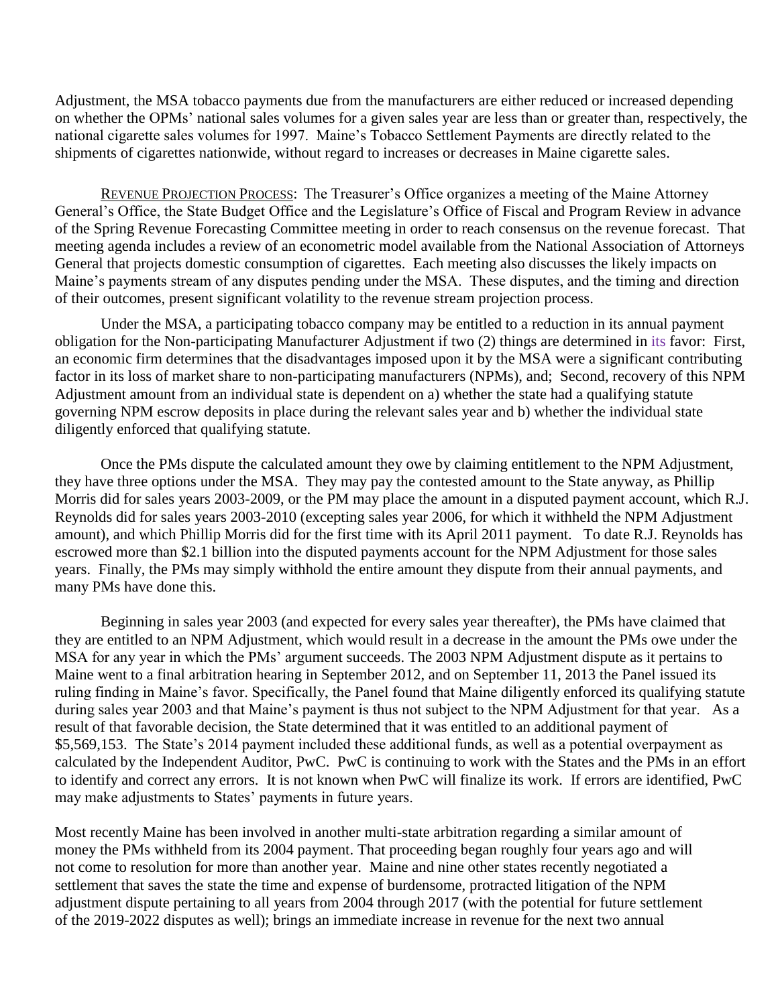Adjustment, the MSA tobacco payments due from the manufacturers are either reduced or increased depending on whether the OPMs' national sales volumes for a given sales year are less than or greater than, respectively, the national cigarette sales volumes for 1997. Maine's Tobacco Settlement Payments are directly related to the shipments of cigarettes nationwide, without regard to increases or decreases in Maine cigarette sales.

REVENUE PROJECTION PROCESS: The Treasurer's Office organizes a meeting of the Maine Attorney General's Office, the State Budget Office and the Legislature's Office of Fiscal and Program Review in advance of the Spring Revenue Forecasting Committee meeting in order to reach consensus on the revenue forecast. That meeting agenda includes a review of an econometric model available from the National Association of Attorneys General that projects domestic consumption of cigarettes. Each meeting also discusses the likely impacts on Maine's payments stream of any disputes pending under the MSA. These disputes, and the timing and direction of their outcomes, present significant volatility to the revenue stream projection process.

Under the MSA, a participating tobacco company may be entitled to a reduction in its annual payment obligation for the Non-participating Manufacturer Adjustment if two (2) things are determined in its favor: First, an economic firm determines that the disadvantages imposed upon it by the MSA were a significant contributing factor in its loss of market share to non-participating manufacturers (NPMs), and; Second, recovery of this NPM Adjustment amount from an individual state is dependent on a) whether the state had a qualifying statute governing NPM escrow deposits in place during the relevant sales year and b) whether the individual state diligently enforced that qualifying statute.

Once the PMs dispute the calculated amount they owe by claiming entitlement to the NPM Adjustment, they have three options under the MSA. They may pay the contested amount to the State anyway, as Phillip Morris did for sales years 2003-2009, or the PM may place the amount in a disputed payment account, which R.J. Reynolds did for sales years 2003-2010 (excepting sales year 2006, for which it withheld the NPM Adjustment amount), and which Phillip Morris did for the first time with its April 2011 payment. To date R.J. Reynolds has escrowed more than \$2.1 billion into the disputed payments account for the NPM Adjustment for those sales years. Finally, the PMs may simply withhold the entire amount they dispute from their annual payments, and many PMs have done this.

Beginning in sales year 2003 (and expected for every sales year thereafter), the PMs have claimed that they are entitled to an NPM Adjustment, which would result in a decrease in the amount the PMs owe under the MSA for any year in which the PMs' argument succeeds. The 2003 NPM Adjustment dispute as it pertains to Maine went to a final arbitration hearing in September 2012, and on September 11, 2013 the Panel issued its ruling finding in Maine's favor. Specifically, the Panel found that Maine diligently enforced its qualifying statute during sales year 2003 and that Maine's payment is thus not subject to the NPM Adjustment for that year. As a result of that favorable decision, the State determined that it was entitled to an additional payment of \$5,569,153. The State's 2014 payment included these additional funds, as well as a potential overpayment as calculated by the Independent Auditor, PwC. PwC is continuing to work with the States and the PMs in an effort to identify and correct any errors. It is not known when PwC will finalize its work. If errors are identified, PwC may make adjustments to States' payments in future years.

Most recently Maine has been involved in another multi-state arbitration regarding a similar amount of money the PMs withheld from its 2004 payment. That proceeding began roughly four years ago and will not come to resolution for more than another year. Maine and nine other states recently negotiated a settlement that saves the state the time and expense of burdensome, protracted litigation of the NPM adjustment dispute pertaining to all years from 2004 through 2017 (with the potential for future settlement of the 2019-2022 disputes as well); brings an immediate increase in revenue for the next two annual